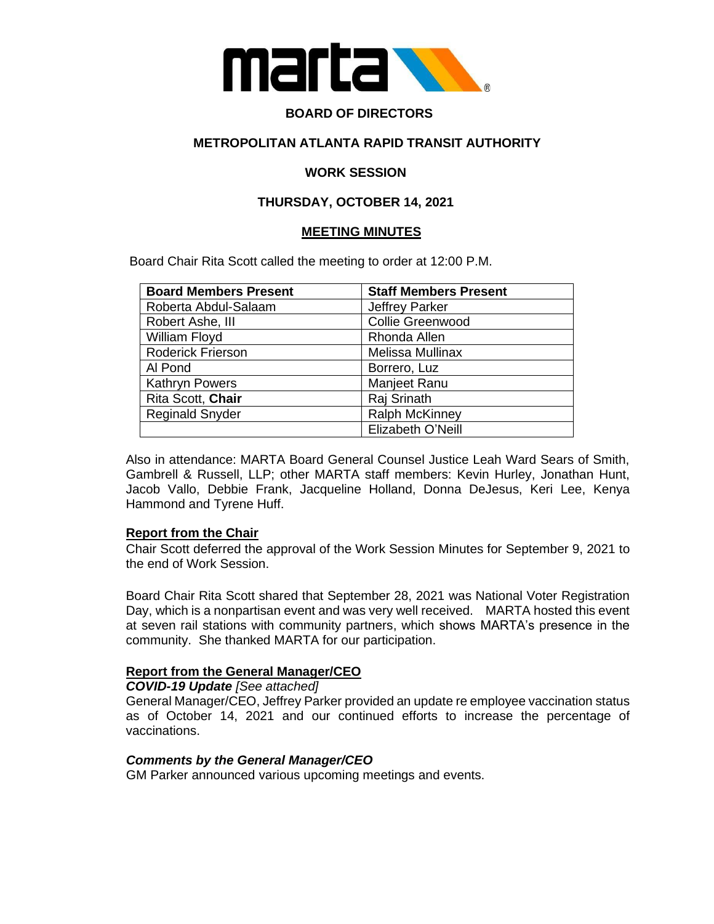

## **BOARD OF DIRECTORS**

### **METROPOLITAN ATLANTA RAPID TRANSIT AUTHORITY**

#### **WORK SESSION**

## **THURSDAY, OCTOBER 14, 2021**

#### **MEETING MINUTES**

Board Chair Rita Scott called the meeting to order at 12:00 P.M.

| <b>Board Members Present</b> | <b>Staff Members Present</b> |
|------------------------------|------------------------------|
| Roberta Abdul-Salaam         | <b>Jeffrey Parker</b>        |
| Robert Ashe, III             | <b>Collie Greenwood</b>      |
| William Floyd                | Rhonda Allen                 |
| <b>Roderick Frierson</b>     | Melissa Mullinax             |
| Al Pond                      | Borrero, Luz                 |
| <b>Kathryn Powers</b>        | Manjeet Ranu                 |
| Rita Scott, Chair            | Raj Srinath                  |
| <b>Reginald Snyder</b>       | <b>Ralph McKinney</b>        |
|                              | Elizabeth O'Neill            |

Also in attendance: MARTA Board General Counsel Justice Leah Ward Sears of Smith, Gambrell & Russell, LLP; other MARTA staff members: Kevin Hurley, Jonathan Hunt, Jacob Vallo, Debbie Frank, Jacqueline Holland, Donna DeJesus, Keri Lee, Kenya Hammond and Tyrene Huff.

#### **Report from the Chair**

Chair Scott deferred the approval of the Work Session Minutes for September 9, 2021 to the end of Work Session.

Board Chair Rita Scott shared that September 28, 2021 was National Voter Registration Day, which is a nonpartisan event and was very well received. MARTA hosted this event at seven rail stations with community partners, which shows MARTA's presence in the community. She thanked MARTA for our participation.

#### **Report from the General Manager/CEO**

*COVID-19 Update [See attached]*

General Manager/CEO, Jeffrey Parker provided an update re employee vaccination status as of October 14, 2021 and our continued efforts to increase the percentage of vaccinations.

#### *Comments by the General Manager/CEO*

GM Parker announced various upcoming meetings and events.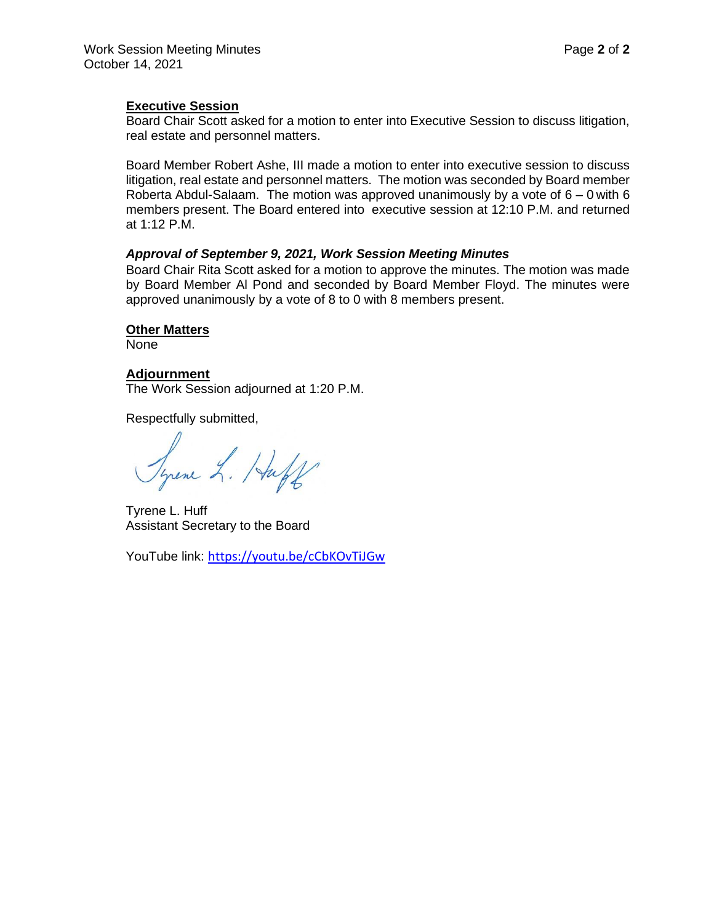Board Chair Scott asked for a motion to enter into Executive Session to discuss litigation, real estate and personnel matters.

Board Member Robert Ashe, III made a motion to enter into executive session to discuss litigation, real estate and personnel matters. The motion was seconded by Board member Roberta Abdul-Salaam. The motion was approved unanimously by a vote of  $6 - 0$  with 6 members present. The Board entered into executive session at 12:10 P.M. and returned at 1:12 P.M.

## *Approval of September 9, 2021, Work Session Meeting Minutes*

Board Chair Rita Scott asked for a motion to approve the minutes. The motion was made by Board Member Al Pond and seconded by Board Member Floyd. The minutes were approved unanimously by a vote of 8 to 0 with 8 members present.

#### **Other Matters**

None

## **Adjournment**

The Work Session adjourned at 1:20 P.M.

Respectfully submitted,

Syrene L. Huff

Tyrene L. Huff Assistant Secretary to the Board

YouTube link: <https://youtu.be/cCbKOvTiJGw>